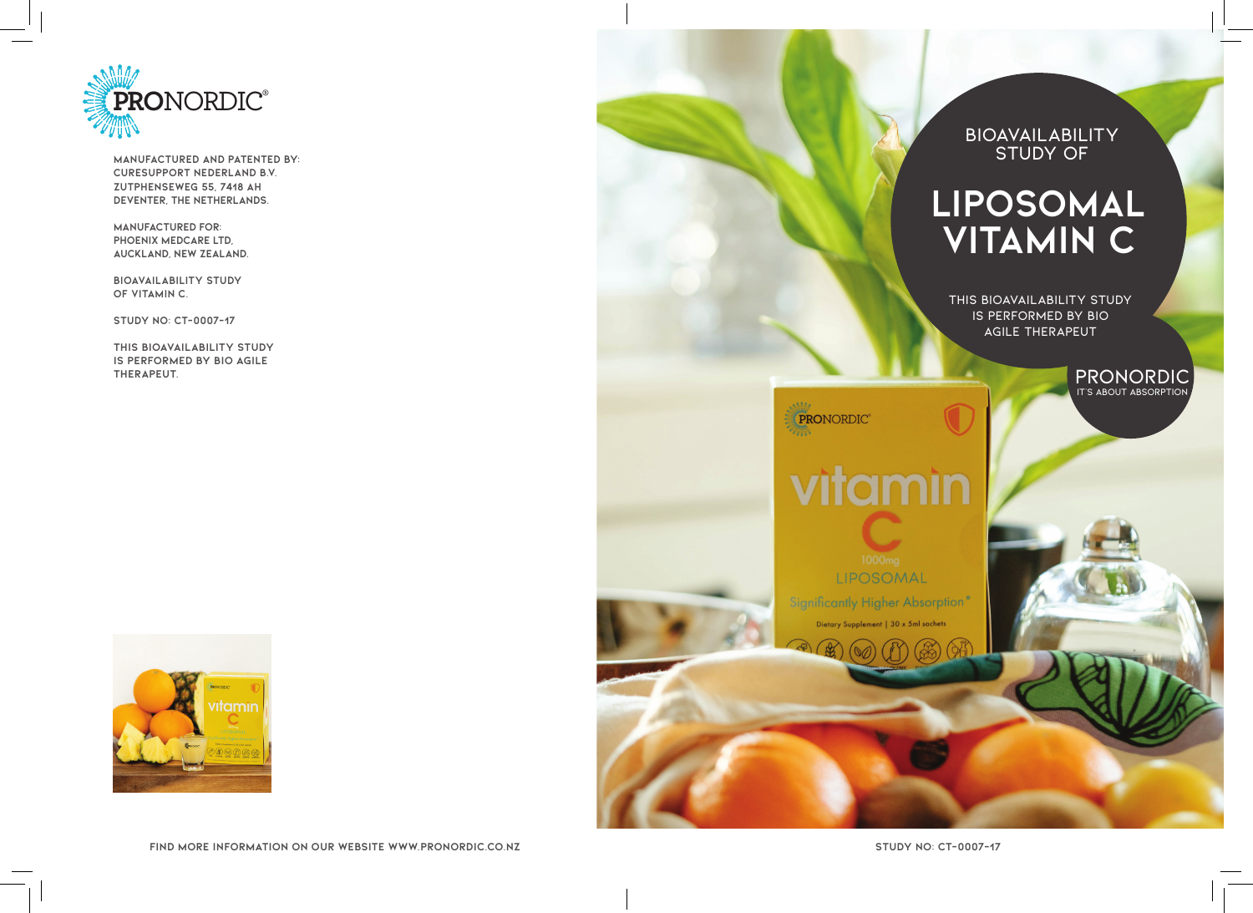

**MANUFACTURED AND PATENTED BY: CureSupport Nederland B.V. Zutphenseweg 55, 7418 AH Deventer, The Netherlands.**

**MANUFACTURED FOR: PHOENIX MEDCARE LTD, AUCKLAND, NEW ZEALAND.**

**BIOAVAILABILITY STUDY OF VITAMIN C.**

**STUDY NO: CT-0007-17**

**This bioavailability study is performed by Bio Agile Therapeut.**



**Find more INFORMATION ON OUR WEBSITE WWW.PRONORDIC.CO.NZ**

**BIOAVAILABILITY STUDY OF**

# **LIPOSOMAL VITAMIN C**

**THIS BIOAVAILABILITY STUDY IS PERFORMED BY BIO AGILE THERAPEUT**

> **PRONORDIC IT'S ABOUT ABSORPTION**

vitamin

PRONORDIC®

LIPOSOMAL **Significantly Higher Absorption\*** Dietary Supplement | 30 x 5ml sachets

**STUDY NO: CT-0007-17**